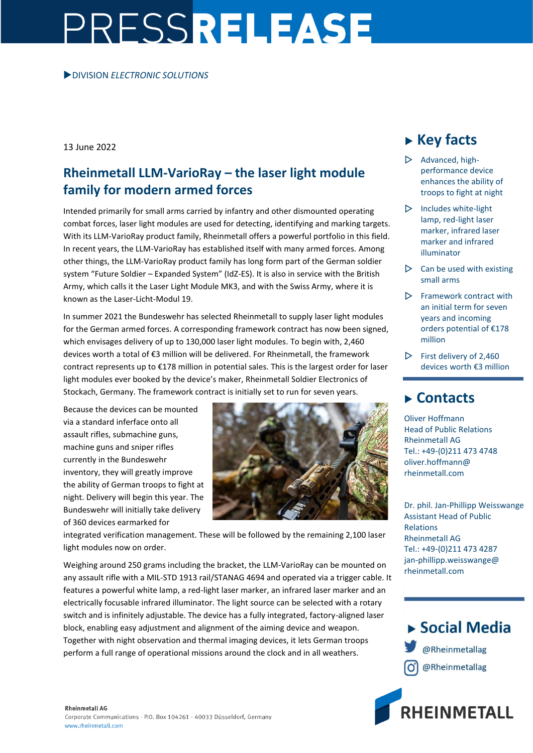# PRESSRELEASE

#### DIVISION *ELECTRONIC SOLUTIONS*

13 June 2022

## **Rheinmetall LLM-VarioRay – the laser light module family for modern armed forces**

Intended primarily for small arms carried by infantry and other dismounted operating combat forces, laser light modules are used for detecting, identifying and marking targets. With its LLM-VarioRay product family, Rheinmetall offers a powerful portfolio in this field. In recent years, the LLM-VarioRay has established itself with many armed forces. Among other things, the LLM-VarioRay product family has long form part of the German soldier system "Future Soldier – Expanded System" (IdZ-ES). It is also in service with the British Army, which calls it the Laser Light Module MK3, and with the Swiss Army, where it is known as the Laser-Licht-Modul 19.

In summer 2021 the Bundeswehr has selected Rheinmetall to supply laser light modules for the German armed forces. A corresponding framework contract has now been signed, which envisages delivery of up to 130,000 laser light modules. To begin with, 2,460 devices worth a total of €3 million will be delivered. For Rheinmetall, the framework contract represents up to €178 million in potential sales. This is the largest order for laser light modules ever booked by the device's maker, Rheinmetall Soldier Electronics of Stockach, Germany. The framework contract is initially set to run for seven years.

Because the devices can be mounted via a standard inferface onto all assault rifles, submachine guns, machine guns and sniper rifles currently in the Bundeswehr inventory, they will greatly improve the ability of German troops to fight at night. Delivery will begin this year. The Bundeswehr will initially take delivery of 360 devices earmarked for



integrated verification management. These will be followed by the remaining 2,100 laser light modules now on order.

Weighing around 250 grams including the bracket, the LLM-VarioRay can be mounted on any assault rifle with a MIL-STD 1913 rail/STANAG 4694 and operated via a trigger cable. It features a powerful white lamp, a red-light laser marker, an infrared laser marker and an electrically focusable infrared illuminator. The light source can be selected with a rotary switch and is infinitely adjustable. The device has a fully integrated, factory-aligned laser block, enabling easy adjustment and alignment of the aiming device and weapon. Together with night observation and thermal imaging devices, it lets German troops perform a full range of operational missions around the clock and in all weathers.

# **Key facts**

- $\triangleright$  Advanced, highperformance device enhances the ability of troops to fight at night
- $\triangleright$  Includes white-light lamp, red-light laser marker, infrared laser marker and infrared illuminator
- $\triangleright$  Can be used with existing small arms
- $\triangleright$  Framework contract with an initial term for seven years and incoming orders potential of €178 million
- $\triangleright$  First delivery of 2,460 devices worth €3 million

## **Contacts**

Oliver Hoffmann Head of Public Relations Rheinmetall AG Tel.: +49-(0)211 473 4748 oliver.hoffmann@ rheinmetall.com

Dr. phil. Jan-Phillipp Weisswange Assistant Head of Public Relations Rheinmetall AG Tel.: +49-(0)211 473 4287 jan-phillipp.weisswange@ rheinmetall.com



**RHEINMETALL** 

### **Rheinmetall AG**

Corporate Communications · P.O. Box 104261 · 40033 Düsseldorf, Germany www.rheinmetall.com